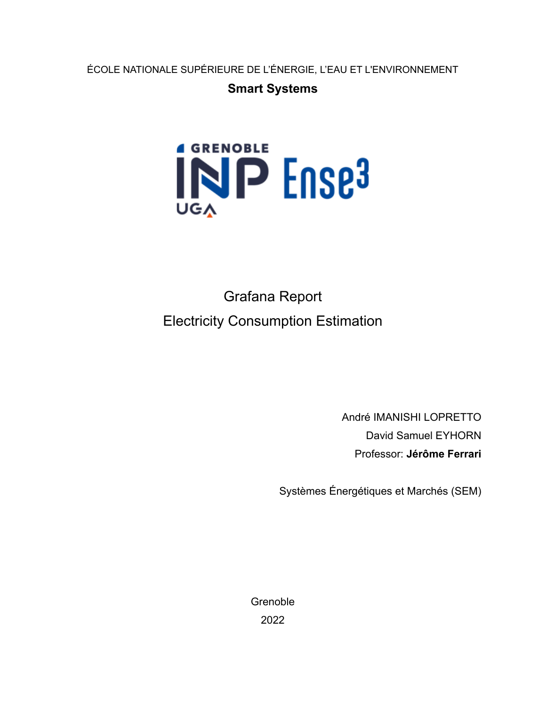ÉCOLE NATIONALE SUPÉRIEURE DE L'ÉNERGIE, L'EAU ET L'ENVIRONNEMENT

### **Smart Systems**



Grafana Report Electricity Consumption Estimation

> André IMANISHI LOPRETTO David Samuel EYHORN Professor: **Jérôme Ferrari**

Systèmes Énergétiques et Marchés (SEM)

**Grenoble** 2022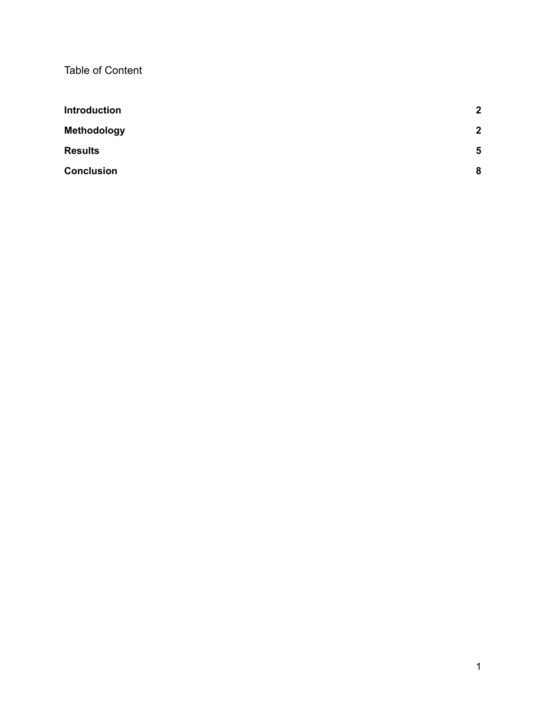Table of Content

| <b>Introduction</b> | $\overline{2}$          |
|---------------------|-------------------------|
| <b>Methodology</b>  | $\boldsymbol{2}$        |
| <b>Results</b>      | $\overline{\mathbf{5}}$ |
| <b>Conclusion</b>   | 8                       |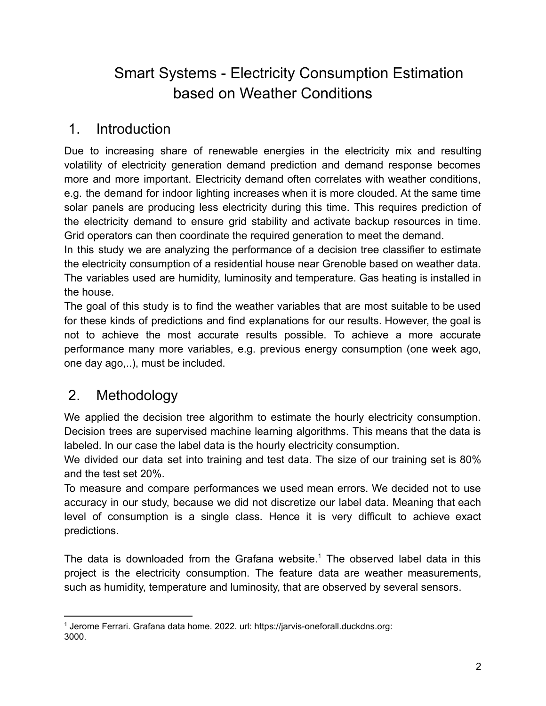# Smart Systems - Electricity Consumption Estimation based on Weather Conditions

### <span id="page-2-0"></span>1. Introduction

Due to increasing share of renewable energies in the electricity mix and resulting volatility of electricity generation demand prediction and demand response becomes more and more important. Electricity demand often correlates with weather conditions, e.g. the demand for indoor lighting increases when it is more clouded. At the same time solar panels are producing less electricity during this time. This requires prediction of the electricity demand to ensure grid stability and activate backup resources in time. Grid operators can then coordinate the required generation to meet the demand.

In this study we are analyzing the performance of a decision tree classifier to estimate the electricity consumption of a residential house near Grenoble based on weather data. The variables used are humidity, luminosity and temperature. Gas heating is installed in the house.

The goal of this study is to find the weather variables that are most suitable to be used for these kinds of predictions and find explanations for our results. However, the goal is not to achieve the most accurate results possible. To achieve a more accurate performance many more variables, e.g. previous energy consumption (one week ago, one day ago,..), must be included.

# <span id="page-2-1"></span>2. Methodology

We applied the decision tree algorithm to estimate the hourly electricity consumption. Decision trees are supervised machine learning algorithms. This means that the data is labeled. In our case the label data is the hourly electricity consumption.

We divided our data set into training and test data. The size of our training set is 80% and the test set 20%.

To measure and compare performances we used mean errors. We decided not to use accuracy in our study, because we did not discretize our label data. Meaning that each level of consumption is a single class. Hence it is very difficult to achieve exact predictions.

The data is downloaded from the Grafana website.<sup>1</sup> The observed label data in this project is the electricity consumption. The feature data are weather measurements, such as humidity, temperature and luminosity, that are observed by several sensors.

<sup>1</sup> Jerome Ferrari. Grafana data home. 2022. url: https://jarvis-oneforall.duckdns.org: 3000.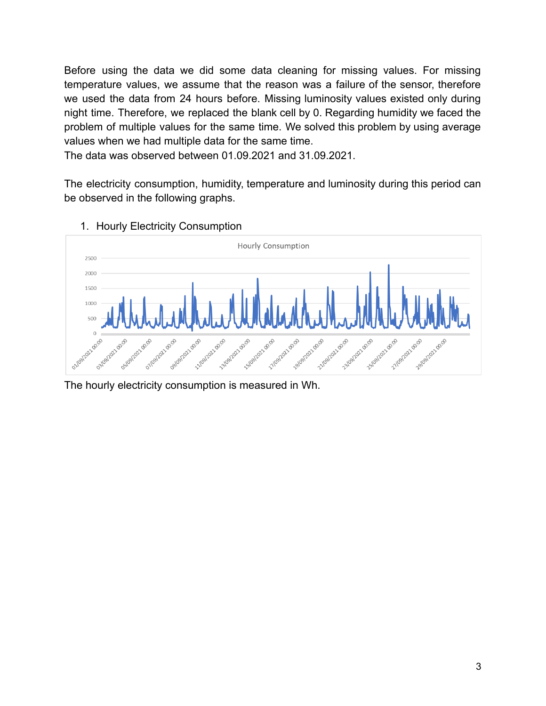Before using the data we did some data cleaning for missing values. For missing temperature values, we assume that the reason was a failure of the sensor, therefore we used the data from 24 hours before. Missing luminosity values existed only during night time. Therefore, we replaced the blank cell by 0. Regarding humidity we faced the problem of multiple values for the same time. We solved this problem by using average values when we had multiple data for the same time.

The data was observed between 01.09.2021 and 31.09.2021.

The electricity consumption, humidity, temperature and luminosity during this period can be observed in the following graphs.



1. Hourly Electricity Consumption

The hourly electricity consumption is measured in Wh.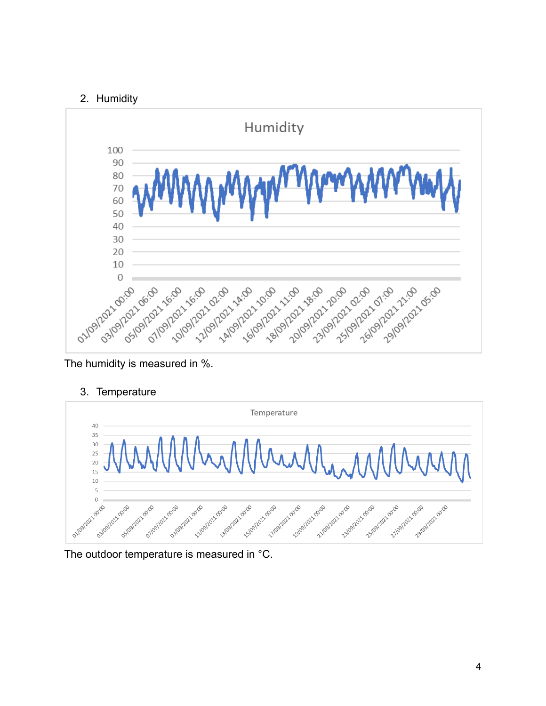### 2. Humidity



The humidity is measured in %.

3. Temperature



The outdoor temperature is measured in °C.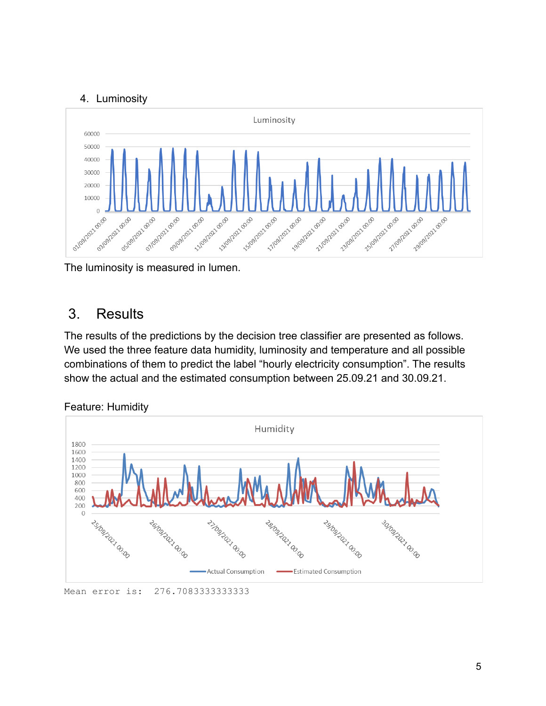### 4. Luminosity



The luminosity is measured in lumen.

## <span id="page-5-0"></span>3. Results

The results of the predictions by the decision tree classifier are presented as follows. We used the three feature data humidity, luminosity and temperature and all possible combinations of them to predict the label "hourly electricity consumption". The results show the actual and the estimated consumption between 25.09.21 and 30.09.21.



Feature: Humidity

Mean error is: 276.70833333333333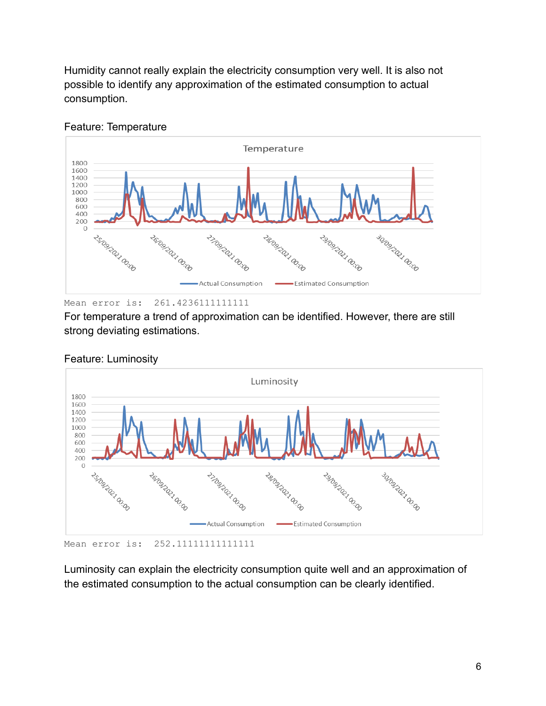Humidity cannot really explain the electricity consumption very well. It is also not possible to identify any approximation of the estimated consumption to actual consumption.



#### Feature: Temperature

Mean error is: 261.4236111111111

For temperature a trend of approximation can be identified. However, there are still strong deviating estimations.



#### Feature: Luminosity

Luminosity can explain the electricity consumption quite well and an approximation of the estimated consumption to the actual consumption can be clearly identified.

Mean error is: 252.11111111111111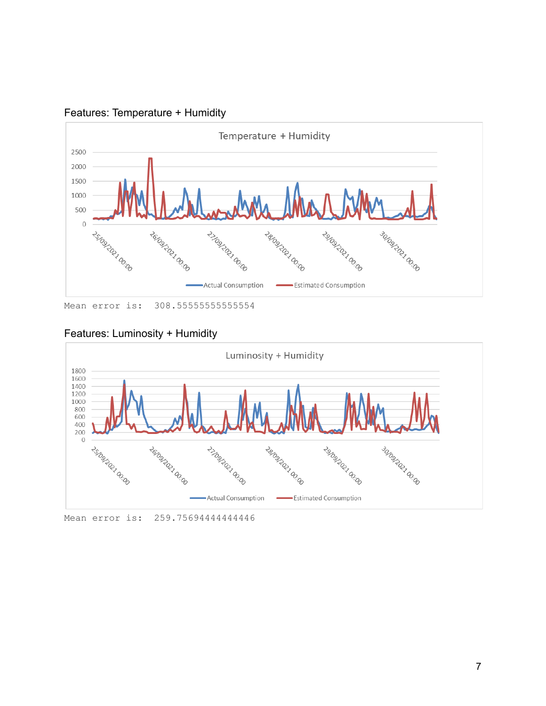

Features: Temperature + Humidity

Mean error is: 308.55555555555554

#### Features: Luminosity + Humidity



Mean error is: 259.7569444444446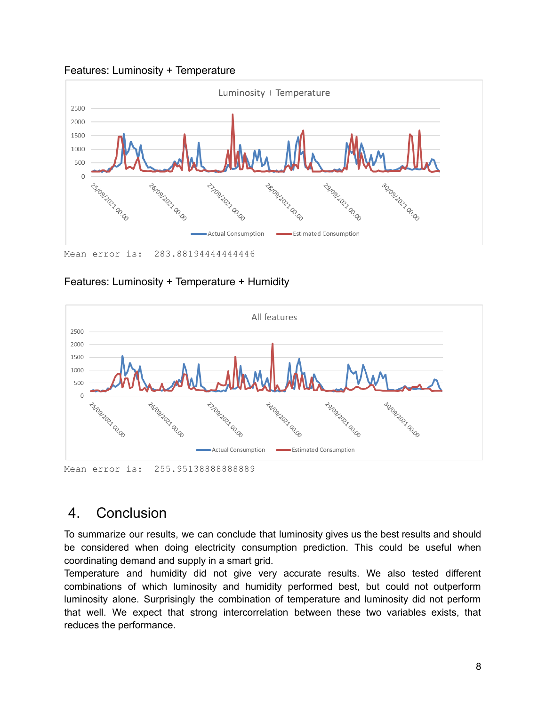



Mean error is: 283.8819444444446

### Features: Luminosity + Temperature + Humidity



Mean error is: 255.95138888888889

### <span id="page-8-0"></span>4. Conclusion

To summarize our results, we can conclude that luminosity gives us the best results and should be considered when doing electricity consumption prediction. This could be useful when coordinating demand and supply in a smart grid.

Temperature and humidity did not give very accurate results. We also tested different combinations of which luminosity and humidity performed best, but could not outperform luminosity alone. Surprisingly the combination of temperature and luminosity did not perform that well. We expect that strong intercorrelation between these two variables exists, that reduces the performance.